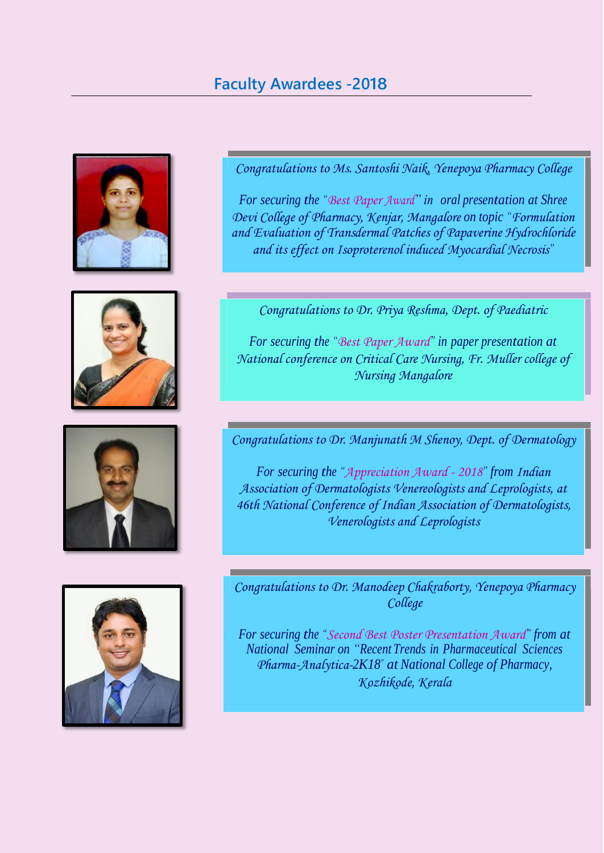## **Faculty Awardees -2018**









*Congratulations to Ms. Santoshi Naik, Yenepoya Pharmacy College*

*For securing the "Best Paper Award" in oral presentation at Shree Devi College of Pharmacy, Kenjar, Mangalore on topic "Formulation and Evaluation of Transdermal Patches of Papaverine Hydrochloride and its effect on Isoproterenol induced Myocardial Necrosis"*

*Congratulations to Dr. Priya Reshma, Dept. of Paediatric*

*For securing the "Best Paper Award" in paper presentation at National conference on Critical Care Nursing, Fr. Muller college of Nursing Mangalore*

*Congratulations to Dr. Manjunath M Shenoy, Dept. of Dermatology*

*For securing the "Appreciation Award - 2018" from Indian Association of Dermatologists Venereologists and Leprologists, at 46th National Conference of Indian Association of Dermatologists, Venerologists and Leprologists*

*Congratulations to Dr. Manodeep Chakraborty, Yenepoya Pharmacy College*

*For securing the "Second Best Poster Presentation Award" from at National Seminar on "Recent Trends in Pharmaceutical Sciences Pharma-Analytica-2K18" at National College of Pharmacy, Kozhikode, Kerala*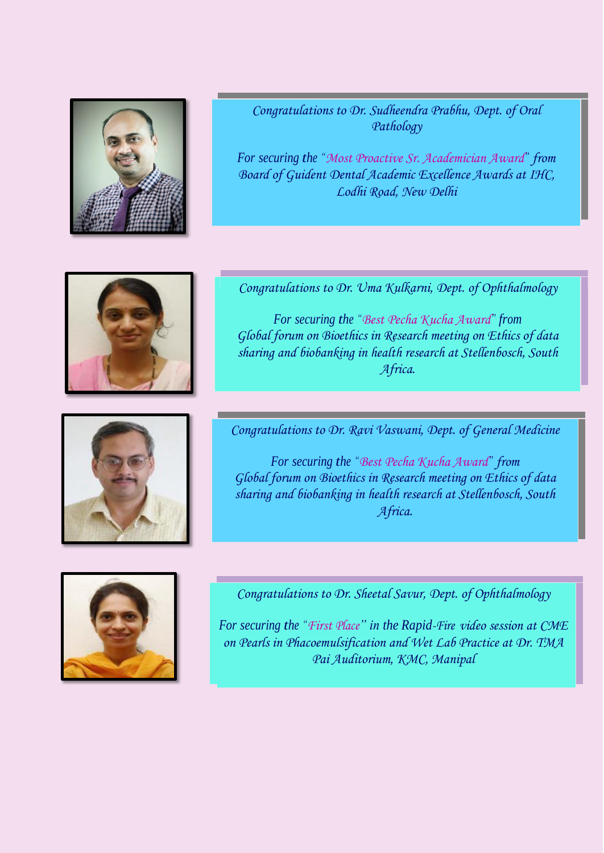

*Congratulations to Dr. Sudheendra Prabhu, Dept. of Oral Pathology*

*For securing the "Most Proactive Sr. Academician Award" from Board of Guident Dental Academic Excellence Awards at IHC, Lodhi Road, New Delhi*



*Congratulations to Dr. Uma Kulkarni, Dept. of Ophthalmology*

*For securing the "Best Pecha Kucha Award" from Global forum on Bioethics in Research meeting on Ethics of data sharing and biobanking in health research at Stellenbosch, South Africa.*



*Congratulations to Dr. Ravi Vaswani, Dept. of General Medicine*

*For securing the "Best Pecha Kucha Award" from Global forum on Bioethics in Research meeting on Ethics of data sharing and biobanking in health research at Stellenbosch, South Africa.*



*Congratulations to Dr. Sheetal Savur, Dept. of Ophthalmology*

*For securing the "First Place" in the Rapid-Fire video session at CME on Pearls in Phacoemulsification and Wet Lab Practice at Dr. TMA Pai Auditorium, KMC, Manipal*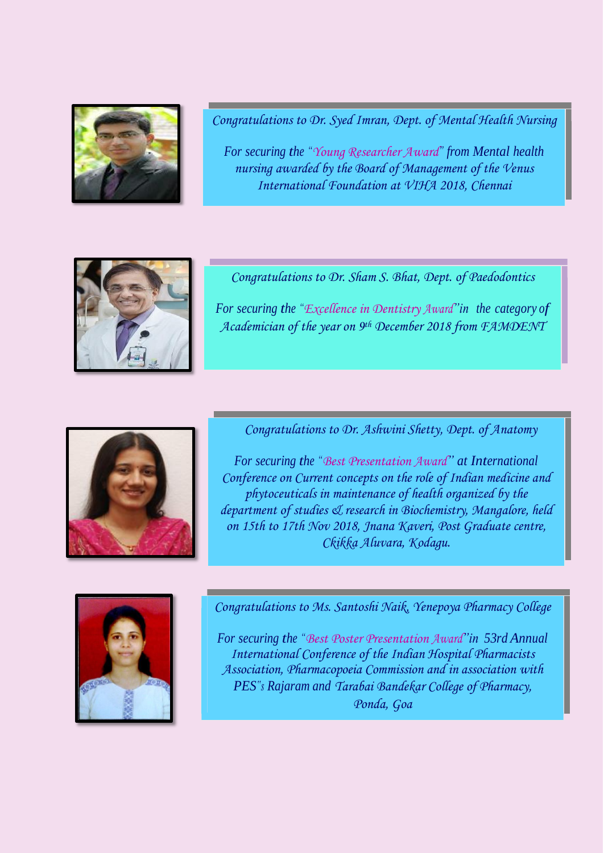

*Congratulations to Dr. Syed Imran, Dept. of Mental Health Nursing*

*For securing the "Young Researcher Award" from Mental health nursing awarded by the Board of Management of the Venus International Foundation at VIHA 2018, Chennai*



*Congratulations to Dr. Sham S. Bhat, Dept. of Paedodontics*

*For securing the "Excellence in Dentistry Award"in the category of Academician of the year on 9 th December 2018 from FAMDENT*



*Congratulations to Dr. Ashwini Shetty, Dept. of Anatomy*

*For securing the "Best Presentation Award" at International Conference on Current concepts on the role of Indian medicine and phytoceuticals in maintenance of health organized by the department of studies & research in Biochemistry, Mangalore, held on 15th to 17th Nov 2018, Jnana Kaveri, Post Graduate centre, Ckikka Aluvara, Kodagu.*



*Congratulations to Ms. Santoshi Naik, Yenepoya Pharmacy College*

*For securing the "Best Poster Presentation Award"in 53rd Annual International Conference of the Indian Hospital Pharmacists Association, Pharmacopoeia Commission and in association with PES"s Rajaram and Tarabai Bandekar College of Pharmacy, Ponda, Goa*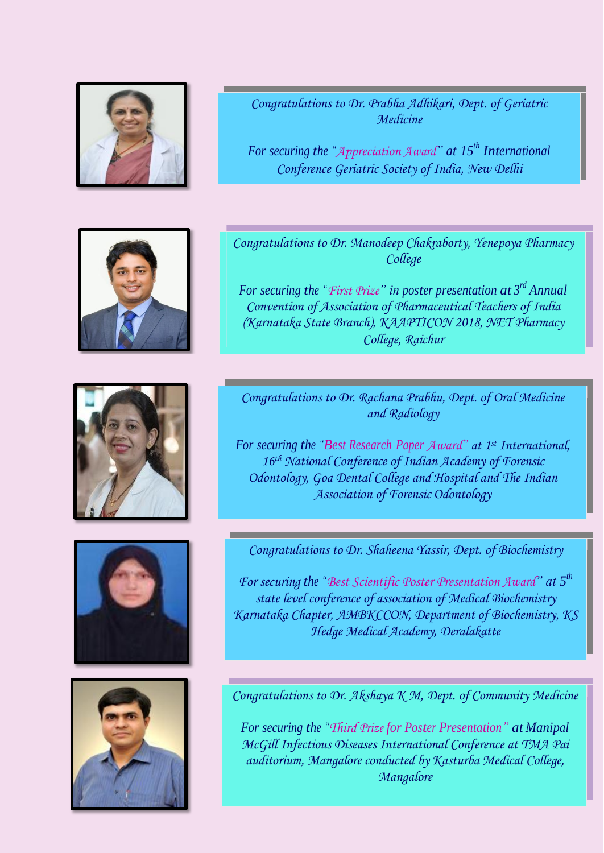

*Congratulations to Dr. Prabha Adhikari, Dept. of Geriatric Medicine*

*For securing the "Appreciation Award" at 15 th International Conference Geriatric Society of India, New Delhi*





*Congratulations to Dr. Manodeep Chakraborty, Yenepoya Pharmacy College*

*For securing the "First Prize" in poster presentation at 3 rd Annual Convention of Association of Pharmaceutical Teachers of India (Karnataka State Branch), KAAPTICON 2018, NET Pharmacy College, Raichur*

*Congratulations to Dr. Rachana Prabhu, Dept. of Oral Medicine and Radiology*

*For securing the "Best Research Paper Award" at 1 st International, 16th National Conference of Indian Academy of Forensic Odontology, Goa Dental College and Hospital and The Indian Association of Forensic Odontology*



*For securing the "Best Scientific Poster Presentation Award" at 5 th state level conference of association of Medical Biochemistry Karnataka Chapter, AMBKCCON, Department of Biochemistry, KS Hedge Medical Academy, Deralakatte*



*Congratulations to Dr. Akshaya K M, Dept. of Community Medicine*

*For securing the "Third Prize for Poster Presentation" at Manipal McGill Infectious Diseases International Conference at TMA Pai auditorium, Mangalore conducted by Kasturba Medical College, Mangalore*